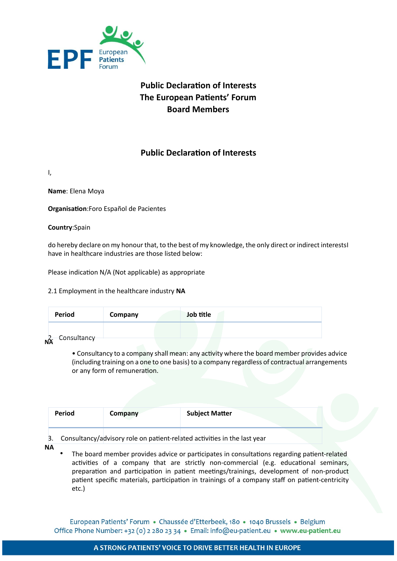

# **Public Declaration of Interests The European Patients' Forum Board Members**

# **Public Declaration of Interests**

I,

**Name**: Elena Moya

**Organisation:**Foro Español de Pacientes

**Country**:Spain

do hereby declare on my honour that, to the best of my knowledge, the only direct or indirect interestsI have in healthcare industries are those listed below:

Please indication N/A (Not applicable) as appropriate

2.1 Employment in the healthcare industry **NA**

| <b>Period</b>                   | Company | Job title |  |
|---------------------------------|---------|-----------|--|
|                                 |         |           |  |
| - Consultancy<br>$\frac{2}{NA}$ |         |           |  |

• Consultancy to a company shall mean: any activity where the board member provides advice (including training on a one to one basis) to a company regardless of contractual arrangements or any form of remuneration.

| Period | Company | <b>Subject Matter</b> |  |
|--------|---------|-----------------------|--|
|        |         |                       |  |

3. Consultancy/advisory role on patient-related activities in the last year

- **NA**
- The board member provides advice or participates in consultations regarding patient-related activities of a company that are strictly non-commercial (e.g. educational seminars, preparation and participation in patient meetings/trainings, development of non-product patient specific materials, participation in trainings of a company staff on patient-centricity etc.)

European Patients' Forum · Chaussée d'Etterbeek, 180 · 1040 Brussels · Belgium Office Phone Number: +32 (0) 2 280 23 34 · Email: info@eu-patient.eu · www.eu-patient.eu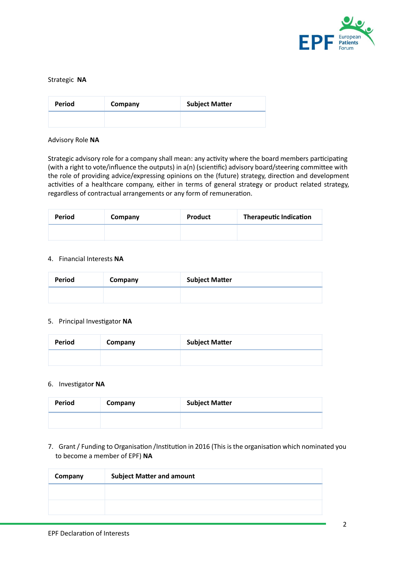

#### Strategic **NA**

| Period | Company | <b>Subject Matter</b> |
|--------|---------|-----------------------|
|        |         |                       |

#### Advisory Role **NA**

Strategic advisory role for a company shall mean: any activity where the board members participating (with a right to vote/influence the outputs) in  $a(n)$  (scientific) advisory board/steering committee with the role of providing advice/expressing opinions on the (future) strategy, direction and development activities of a healthcare company, either in terms of general strategy or product related strategy, regardless of contractual arrangements or any form of remuneration.

| Period | Company | <b>Product</b> | <b>Therapeutic Indication</b> |
|--------|---------|----------------|-------------------------------|
|        |         |                |                               |

# 4. Financial Interests **NA**

| Period | Company | <b>Subject Matter</b> |
|--------|---------|-----------------------|
|        |         |                       |

### 5. Principal Investigator NA

| Period | Company | <b>Subject Matter</b> |
|--------|---------|-----------------------|
|        |         |                       |

#### 6. Investigator NA

| Period | Company | <b>Subject Matter</b> |
|--------|---------|-----------------------|
|        |         |                       |

7. Grant / Funding to Organisation /Institution in 2016 (This is the organisation which nominated you to become a member of EPF) **NA**

| Company | <b>Subject Matter and amount</b> |  |
|---------|----------------------------------|--|
|         |                                  |  |
|         |                                  |  |